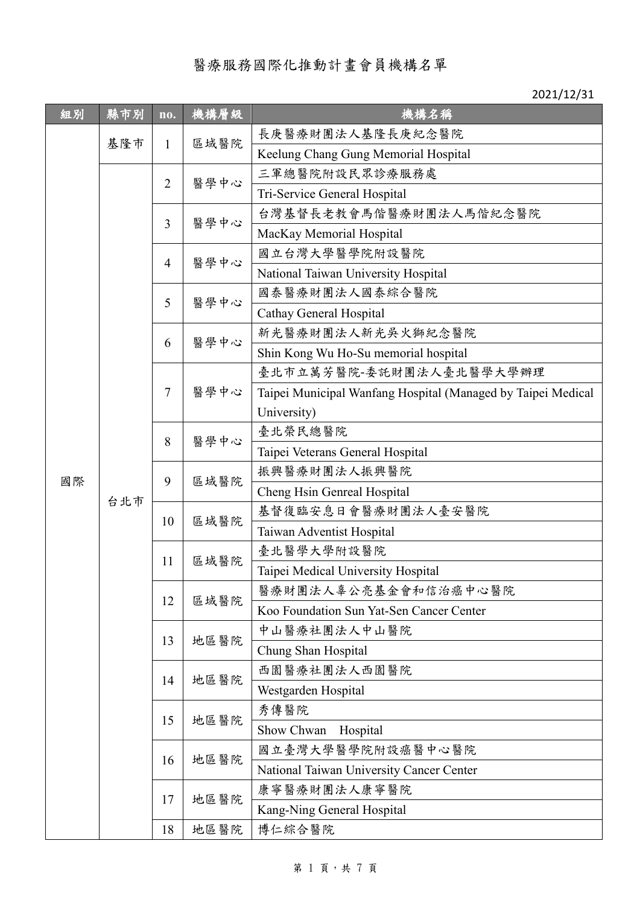2021/12/31

| 組別 | 縣市別 | no.            | 機構層級 | 機構名稱                                                         |
|----|-----|----------------|------|--------------------------------------------------------------|
|    | 基隆市 | $\mathbf{1}$   | 區域醫院 | 長庚醫療財團法人基隆長庚紀念醫院                                             |
|    |     |                |      | Keelung Chang Gung Memorial Hospital                         |
|    |     |                | 醫學中心 | 三軍總醫院附設民眾診療服務處                                               |
|    |     | $\overline{2}$ |      | Tri-Service General Hospital                                 |
|    |     | 3              | 醫學中心 | 台灣基督長老教會馬偕醫療財團法人馬偕紀念醫院                                       |
|    |     |                |      | MacKay Memorial Hospital                                     |
|    |     | $\overline{4}$ | 醫學中心 | 國立台灣大學醫學院附設醫院                                                |
|    |     |                |      | National Taiwan University Hospital                          |
|    |     | 5              |      | 國泰醫療財團法人國泰綜合醫院                                               |
|    |     |                | 醫學中心 | Cathay General Hospital                                      |
|    |     |                |      | 新光醫療財團法人新光吳火獅紀念醫院                                            |
|    |     | 6              | 醫學中心 | Shin Kong Wu Ho-Su memorial hospital                         |
|    |     |                | 醫學中心 | 臺北市立萬芳醫院-委託財團法人臺北醫學大學辦理                                      |
|    |     | $\tau$         |      | Taipei Municipal Wanfang Hospital (Managed by Taipei Medical |
|    |     |                |      | University)                                                  |
|    |     |                | 醫學中心 | 臺北榮民總醫院                                                      |
|    | 台北市 | 8              |      | Taipei Veterans General Hospital                             |
|    |     | 9              | 區域醫院 | 振興醫療財團法人振興醫院                                                 |
| 國際 |     |                |      | Cheng Hsin Genreal Hospital                                  |
|    |     | 10             | 區域醫院 | 基督復臨安息日會醫療財團法人臺安醫院                                           |
|    |     |                |      | Taiwan Adventist Hospital                                    |
|    |     | 11             | 區域醫院 | 臺北醫學大學附設醫院                                                   |
|    |     |                |      | Taipei Medical University Hospital                           |
|    |     | 12             | 區域醫院 | 醫療財團法人辜公亮基金會和信治癌中心醫院                                         |
|    |     |                |      | Koo Foundation Sun Yat-Sen Cancer Center                     |
|    |     | 13             | 地區醫院 | 中山醫療社團法人中山醫院                                                 |
|    |     |                |      | Chung Shan Hospital                                          |
|    |     | 14             | 地區醫院 | 西園醫療社團法人西園醫院                                                 |
|    |     |                |      | Westgarden Hospital                                          |
|    |     | 15             | 地區醫院 | 秀傳醫院                                                         |
|    |     |                |      | Show Chwan<br>Hospital                                       |
|    |     | 16             | 地區醫院 | 國立臺灣大學醫學院附設癌醫中心醫院                                            |
|    |     |                |      | National Taiwan University Cancer Center                     |
|    |     | 17             | 地區醫院 | 康寧醫療財團法人康寧醫院                                                 |
|    |     |                |      | Kang-Ning General Hospital                                   |
|    |     | 18             | 地區醫院 | 博仁綜合醫院                                                       |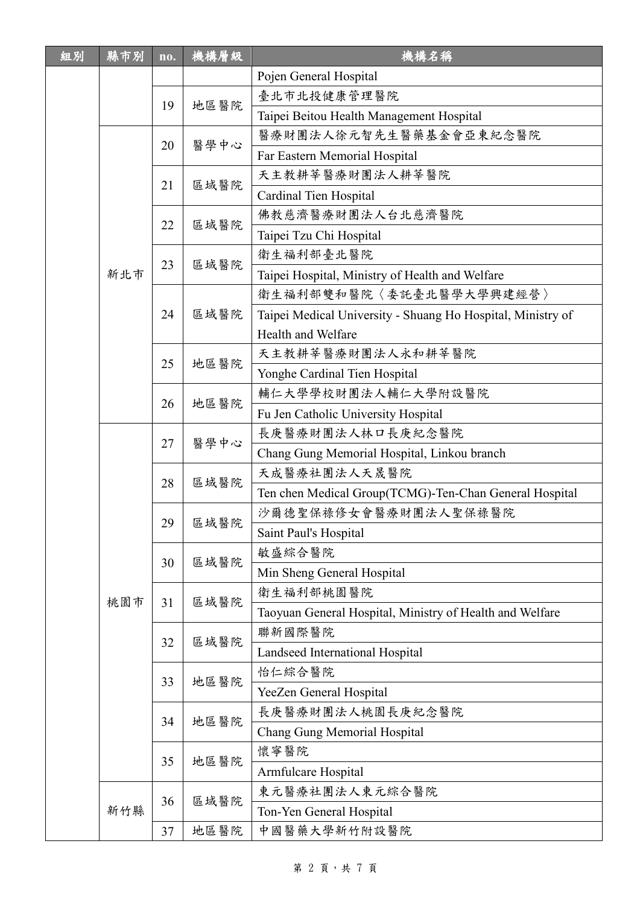| 組別 | 縣市別 | no. | 機構層級 | 機構名稱                                                        |
|----|-----|-----|------|-------------------------------------------------------------|
|    |     |     |      | Pojen General Hospital                                      |
|    |     | 19  | 地區醫院 | 臺北市北投健康管理醫院                                                 |
|    |     |     |      | Taipei Beitou Health Management Hospital                    |
|    |     |     |      | 醫療財團法人徐元智先生醫藥基金會亞東紀念醫院                                      |
|    |     | 20  | 醫學中心 | Far Eastern Memorial Hospital                               |
|    |     | 21  | 區域醫院 | 天主教耕莘醫療財團法人耕莘醫院                                             |
|    |     |     |      | Cardinal Tien Hospital                                      |
|    |     | 22  | 區域醫院 | 佛教慈濟醫療財團法人台北慈濟醫院                                            |
|    |     |     |      | Taipei Tzu Chi Hospital                                     |
|    |     | 23  |      | 衛生福利部臺北醫院                                                   |
|    | 新北市 |     | 區域醫院 | Taipei Hospital, Ministry of Health and Welfare             |
|    |     |     | 區域醫院 | 衛生福利部雙和醫院〈委託臺北醫學大學興建經營〉                                     |
|    |     | 24  |      | Taipei Medical University - Shuang Ho Hospital, Ministry of |
|    |     |     |      | Health and Welfare                                          |
|    |     |     |      | 天主教耕莘醫療財團法人永和耕莘醫院                                           |
|    |     | 25  | 地區醫院 | Yonghe Cardinal Tien Hospital                               |
|    |     |     | 地區醫院 | 輔仁大學學校財團法人輔仁大學附設醫院                                          |
|    |     | 26  |      | Fu Jen Catholic University Hospital                         |
|    |     |     | 醫學中心 | 長庚醫療財團法人林口長庚紀念醫院                                            |
|    |     | 27  |      | Chang Gung Memorial Hospital, Linkou branch                 |
|    |     | 28  | 區域醫院 | 天成醫療社團法人天晟醫院                                                |
|    |     |     |      | Ten chen Medical Group(TCMG)-Ten-Chan General Hospital      |
|    |     | 29  | 區域醫院 | 沙爾德聖保祿修女會醫療財團法人聖保祿醫院                                        |
|    |     |     |      | Saint Paul's Hospital                                       |
|    |     | 30  | 區域醫院 | 敏盛綜合醫院                                                      |
|    |     |     |      | Min Sheng General Hospital                                  |
|    | 桃園市 | 31  | 區域醫院 | 衛生福利部桃園醫院                                                   |
|    |     |     |      | Taoyuan General Hospital, Ministry of Health and Welfare    |
|    |     | 32  | 區域醫院 | 聯新國際醫院                                                      |
|    |     |     |      | Landseed International Hospital                             |
|    |     | 33  | 地區醫院 | 怡仁綜合醫院                                                      |
|    |     |     |      | YeeZen General Hospital                                     |
|    |     | 34  | 地區醫院 | 長庚醫療財團法人桃園長庚紀念醫院                                            |
|    |     |     |      | Chang Gung Memorial Hospital                                |
|    |     | 35  | 地區醫院 | 懷寧醫院                                                        |
|    |     |     |      | Armfulcare Hospital                                         |
|    |     | 36  | 區域醫院 | 東元醫療社團法人東元綜合醫院                                              |
|    | 新竹縣 |     |      | Ton-Yen General Hospital                                    |
|    |     | 37  | 地區醫院 | 中國醫藥大學新竹附設醫院                                                |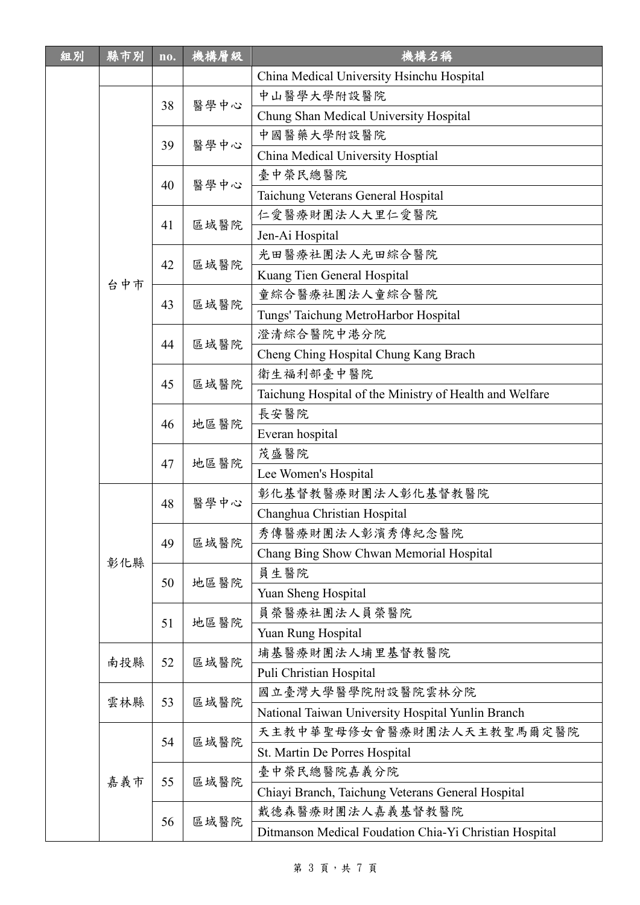| 組別 | 縣市別 | no. | 機構層級 | 機構名稱                                                    |
|----|-----|-----|------|---------------------------------------------------------|
|    |     |     |      | China Medical University Hsinchu Hospital               |
|    |     |     | 醫學中心 | 中山醫學大學附設醫院                                              |
|    |     | 38  |      | Chung Shan Medical University Hospital                  |
|    |     |     |      | 中國醫藥大學附設醫院                                              |
|    |     | 39  | 醫學中心 | China Medical University Hosptial                       |
|    |     | 40  | 醫學中心 | 臺中榮民總醫院                                                 |
|    |     |     |      | Taichung Veterans General Hospital                      |
|    |     | 41  | 區域醫院 | 仁愛醫療財團法人大里仁愛醫院                                          |
|    |     |     |      | Jen-Ai Hospital                                         |
|    |     |     |      | 光田醫療社團法人光田綜合醫院                                          |
|    | 台中市 | 42  | 區域醫院 | Kuang Tien General Hospital                             |
|    |     | 43  | 區域醫院 | 童綜合醫療社團法人童綜合醫院                                          |
|    |     |     |      | Tungs' Taichung MetroHarbor Hospital                    |
|    |     |     | 區域醫院 | 澄清綜合醫院中港分院                                              |
|    |     | 44  |      | Cheng Ching Hospital Chung Kang Brach                   |
|    |     |     |      | 衛生福利部臺中醫院                                               |
|    |     | 45  | 區域醫院 | Taichung Hospital of the Ministry of Health and Welfare |
|    |     | 46  |      | 長安醫院                                                    |
|    |     |     | 地區醫院 | Everan hospital                                         |
|    |     | 47  | 地區醫院 | 茂盛醫院                                                    |
|    |     |     |      | Lee Women's Hospital                                    |
|    |     | 48  | 醫學中心 | 彰化基督教醫療財團法人彰化基督教醫院                                      |
|    | 彰化縣 |     |      | Changhua Christian Hospital                             |
|    |     | 49  | 區域醫院 | 秀傳醫療財團法人彰濱秀傳紀念醫院                                        |
|    |     |     |      | Chang Bing Show Chwan Memorial Hospital                 |
|    |     | 50  | 地區醫院 | 員生醫院                                                    |
|    |     |     |      | Yuan Sheng Hospital                                     |
|    |     | 51  | 地區醫院 | 員榮醫療社團法人員榮醫院                                            |
|    |     |     |      | Yuan Rung Hospital                                      |
|    | 南投縣 | 52  | 區域醫院 | 埔基醫療財團法人埔里基督教醫院                                         |
|    |     |     |      | Puli Christian Hospital                                 |
|    | 雲林縣 | 53  | 區域醫院 | 國立臺灣大學醫學院附設醫院雲林分院                                       |
|    |     |     |      | National Taiwan University Hospital Yunlin Branch       |
|    |     | 54  | 區域醫院 | 天主教中華聖母修女會醫療財團法人天主教聖馬爾定醫院                               |
|    |     |     |      | St. Martin De Porres Hospital                           |
|    | 嘉義市 | 55  | 區域醫院 | 臺中榮民總醫院嘉義分院                                             |
|    |     |     |      | Chiayi Branch, Taichung Veterans General Hospital       |
|    |     | 56  | 區域醫院 | 戴德森醫療財團法人嘉義基督教醫院                                        |
|    |     |     |      | Ditmanson Medical Foudation Chia-Yi Christian Hospital  |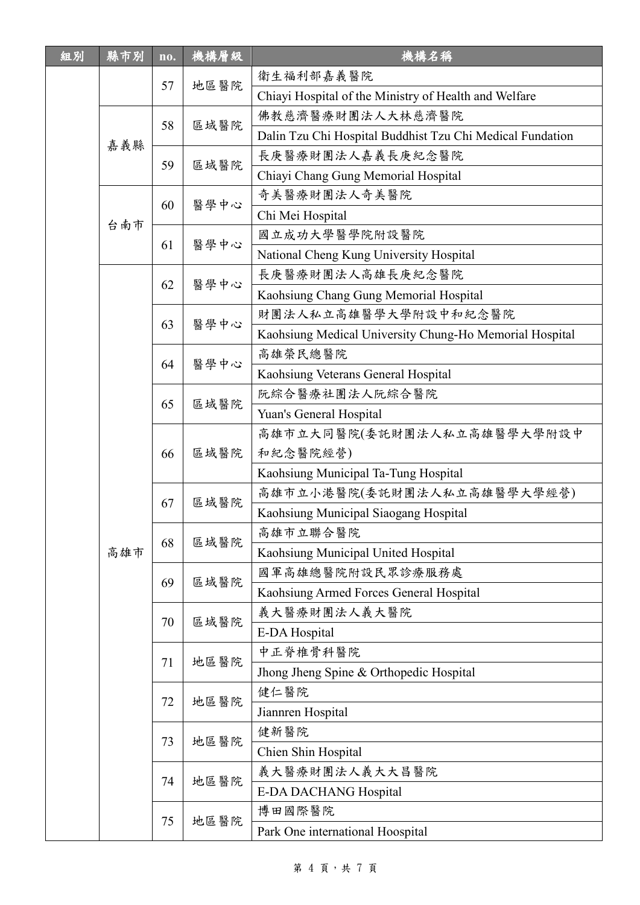| 組別 | 縣市別 | no. | 機構層級 | 機構名稱                                                      |
|----|-----|-----|------|-----------------------------------------------------------|
|    |     | 57  | 地區醫院 | 衛生福利部嘉義醫院                                                 |
|    |     |     |      | Chiayi Hospital of the Ministry of Health and Welfare     |
|    |     |     | 區域醫院 | 佛教慈濟醫療財團法人大林慈濟醫院                                          |
|    |     | 58  |      | Dalin Tzu Chi Hospital Buddhist Tzu Chi Medical Fundation |
|    | 嘉義縣 | 59  | 區域醫院 | 長庚醫療財團法人嘉義長庚紀念醫院                                          |
|    |     |     |      | Chiayi Chang Gung Memorial Hospital                       |
|    |     | 60  | 醫學中心 | 奇美醫療財團法人奇美醫院                                              |
|    | 台南市 |     |      | Chi Mei Hospital                                          |
|    |     | 61  | 醫學中心 | 國立成功大學醫學院附設醫院                                             |
|    |     |     |      | National Cheng Kung University Hospital                   |
|    |     | 62  |      | 長庚醫療財團法人高雄長庚紀念醫院                                          |
|    |     |     | 醫學中心 | Kaohsiung Chang Gung Memorial Hospital                    |
|    |     | 63  |      | 財團法人私立高雄醫學大學附設中和紀念醫院                                      |
|    |     |     | 醫學中心 | Kaohsiung Medical University Chung-Ho Memorial Hospital   |
|    |     | 64  | 醫學中心 | 高雄榮民總醫院                                                   |
|    |     |     |      | Kaohsiung Veterans General Hospital                       |
|    |     |     | 區域醫院 | 阮綜合醫療社團法人阮綜合醫院                                            |
|    |     | 65  |      | Yuan's General Hospital                                   |
|    |     | 66  | 區域醫院 | 高雄市立大同醫院(委託財團法人私立高雄醫學大學附設中                                |
|    |     |     |      | 和紀念醫院經營)                                                  |
|    |     |     |      | Kaohsiung Municipal Ta-Tung Hospital                      |
|    |     | 67  | 區域醫院 | 高雄市立小港醫院(委託財團法人私立高雄醫學大學經營)                                |
|    |     |     |      | Kaohsiung Municipal Siaogang Hospital                     |
|    |     | 68  | 區域醫院 | 高雄市立聯合醫院                                                  |
|    | 高雄市 |     |      | Kaohsiung Municipal United Hospital                       |
|    |     | 69  | 區域醫院 | 國軍高雄總醫院附設民眾診療服務處                                          |
|    |     |     |      | Kaohsiung Armed Forces General Hospital                   |
|    |     | 70  | 區域醫院 | 義大醫療財團法人義大醫院                                              |
|    |     |     |      | E-DA Hospital                                             |
|    |     | 71  | 地區醫院 | 中正脊椎骨科醫院                                                  |
|    |     |     |      | Jhong Jheng Spine & Orthopedic Hospital                   |
|    |     | 72  | 地區醫院 | 健仁醫院                                                      |
|    |     |     |      | Jiannren Hospital                                         |
|    |     | 73  | 地區醫院 | 健新醫院                                                      |
|    |     |     |      | Chien Shin Hospital                                       |
|    |     | 74  | 地區醫院 | 義大醫療財團法人義大大昌醫院                                            |
|    |     |     |      | E-DA DACHANG Hospital                                     |
|    |     | 75  | 地區醫院 | 博田國際醫院                                                    |
|    |     |     |      | Park One international Hoospital                          |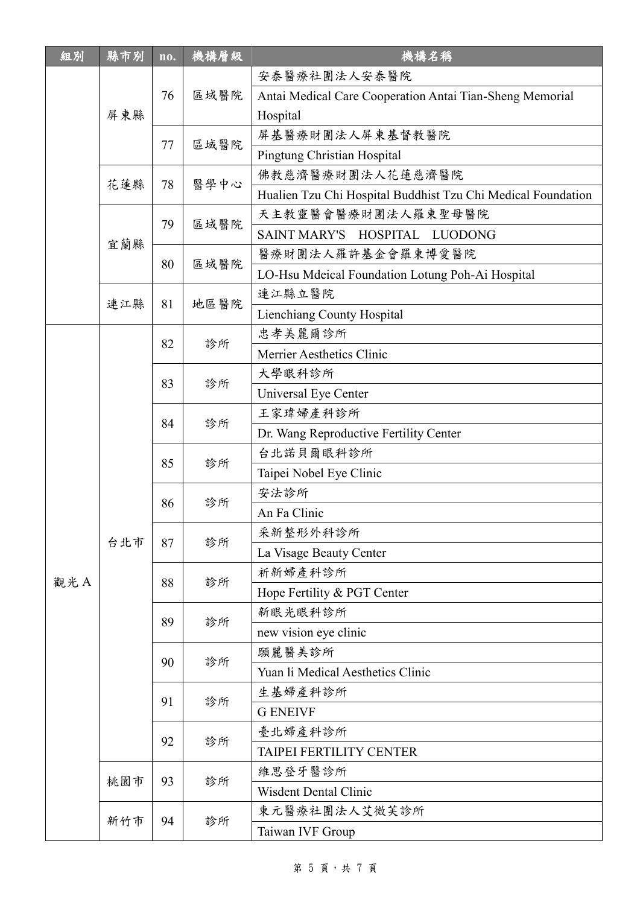| 組別  | 縣市別 | no. | 機構層級 | 機構名稱                                                         |
|-----|-----|-----|------|--------------------------------------------------------------|
|     |     |     | 區域醫院 | 安泰醫療社團法人安泰醫院                                                 |
|     |     | 76  |      | Antai Medical Care Cooperation Antai Tian-Sheng Memorial     |
|     | 屏東縣 |     |      | Hospital                                                     |
|     |     | 77  |      | 屏基醫療財團法人屏東基督教醫院                                              |
|     |     |     | 區域醫院 | Pingtung Christian Hospital                                  |
|     | 花蓮縣 | 78  | 醫學中心 | 佛教慈濟醫療財團法人花蓮慈濟醫院                                             |
|     |     |     |      | Hualien Tzu Chi Hospital Buddhist Tzu Chi Medical Foundation |
|     |     | 79  | 區域醫院 | 天主教靈醫會醫療財團法人羅東聖母醫院                                           |
|     |     |     |      | <b>SAINT MARY'S</b><br>HOSPITAL LUODONG                      |
|     | 宜蘭縣 |     |      | 醫療財團法人羅許基金會羅東博愛醫院                                            |
|     |     | 80  | 區域醫院 | LO-Hsu Mdeical Foundation Lotung Poh-Ai Hospital             |
|     | 連江縣 | 81  | 地區醫院 | 連江縣立醫院                                                       |
|     |     |     |      | Lienchiang County Hospital                                   |
|     |     |     | 診所   | 忠孝美麗爾診所                                                      |
|     |     | 82  |      | Merrier Aesthetics Clinic                                    |
|     |     | 83  | 診所   | 大學眼科診所                                                       |
|     |     |     |      | Universal Eye Center                                         |
|     |     |     | 診所   | 王家瑋婦產科診所                                                     |
|     |     | 84  |      | Dr. Wang Reproductive Fertility Center                       |
|     |     | 85  | 診所   | 台北諾貝爾眼科診所                                                    |
|     |     |     |      | Taipei Nobel Eye Clinic                                      |
|     |     | 86  | 診所   | 安法診所                                                         |
|     |     |     |      | An Fa Clinic                                                 |
|     | 台北市 | 87  | 診所   | 采新整形外科診所                                                     |
|     |     |     |      | La Visage Beauty Center                                      |
| 觀光A |     | 88  | 診所   | 祈新婦產科診所                                                      |
|     |     |     |      | Hope Fertility & PGT Center                                  |
|     |     | 89  | 診所   | 新眼光眼科診所                                                      |
|     |     |     |      | new vision eye clinic                                        |
|     |     | 90  | 診所   | 願麗醫美診所                                                       |
|     |     |     |      | Yuan li Medical Aesthetics Clinic                            |
|     |     | 91  |      | 生基婦產科診所                                                      |
|     |     |     | 診所   | <b>G ENEIVF</b>                                              |
|     |     | 92  | 診所   | 臺北婦產科診所                                                      |
|     |     |     |      | <b>TAIPEI FERTILITY CENTER</b>                               |
|     | 桃園市 | 93  | 診所   | 維思登牙醫診所                                                      |
|     |     |     |      | <b>Wisdent Dental Clinic</b>                                 |
|     | 新竹市 | 94  | 診所   | 東元醫療社團法人艾微芙診所                                                |
|     |     |     |      | Taiwan IVF Group                                             |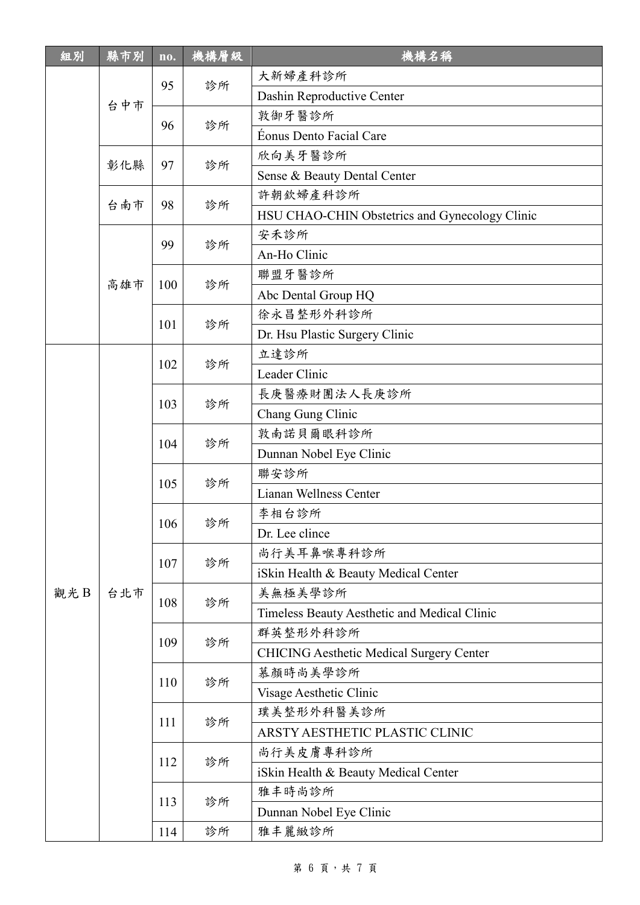| 組別  | 縣市別 | no. | 機構層級 | 機構名稱                                            |
|-----|-----|-----|------|-------------------------------------------------|
|     |     | 95  | 診所   | 大新婦產科診所                                         |
|     |     |     |      | Dashin Reproductive Center                      |
|     | 台中市 | 96  | 診所   | 敦御牙醫診所                                          |
|     |     |     |      | Éonus Dento Facial Care                         |
|     | 彰化縣 |     | 診所   | 欣向美牙醫診所                                         |
|     |     | 97  |      | Sense & Beauty Dental Center                    |
|     |     |     | 診所   | 許朝欽婦產科診所                                        |
|     | 台南市 | 98  |      | HSU CHAO-CHIN Obstetrics and Gynecology Clinic  |
|     |     |     | 診所   | 安禾診所                                            |
|     |     | 99  |      | An-Ho Clinic                                    |
|     | 高雄市 | 100 |      | 聯盟牙醫診所                                          |
|     |     |     | 診所   | Abc Dental Group HQ                             |
|     |     | 101 | 診所   | 徐永昌整形外科診所                                       |
|     |     |     |      | Dr. Hsu Plastic Surgery Clinic                  |
|     |     | 102 | 診所   | 立達診所                                            |
|     |     |     |      | Leader Clinic                                   |
|     |     | 103 | 診所   | 長庚醫療財團法人長庚診所                                    |
|     | 台北市 |     |      | Chang Gung Clinic                               |
|     |     | 104 | 診所   | 敦南諾貝爾眼科診所                                       |
|     |     |     |      | Dunnan Nobel Eye Clinic                         |
|     |     | 105 | 診所   | 聯安診所                                            |
|     |     |     |      | Lianan Wellness Center                          |
|     |     | 106 | 診所   | 李相台診所                                           |
|     |     |     |      | Dr. Lee clince                                  |
|     |     | 107 | 診所   | 尚行美耳鼻喉專科診所                                      |
|     |     |     |      | iSkin Health & Beauty Medical Center            |
| 觀光B |     | 108 | 診所   | 美無極美學診所                                         |
|     |     |     |      | Timeless Beauty Aesthetic and Medical Clinic    |
|     |     | 109 | 診所   | 群英整形外科診所                                        |
|     |     |     |      | <b>CHICING Aesthetic Medical Surgery Center</b> |
|     |     | 110 | 診所   | 慕顏時尚美學診所                                        |
|     |     |     |      | Visage Aesthetic Clinic                         |
|     |     | 111 | 診所   | 璞美整形外科醫美診所                                      |
|     |     |     |      | ARSTY AESTHETIC PLASTIC CLINIC                  |
|     |     | 112 | 診所   | 尚行美皮膚專科診所                                       |
|     |     |     |      | iSkin Health & Beauty Medical Center            |
|     |     | 113 | 診所   | 雅丰時尚診所                                          |
|     |     |     |      | Dunnan Nobel Eye Clinic                         |
|     |     | 114 | 診所   | 雅丰麗緻診所                                          |